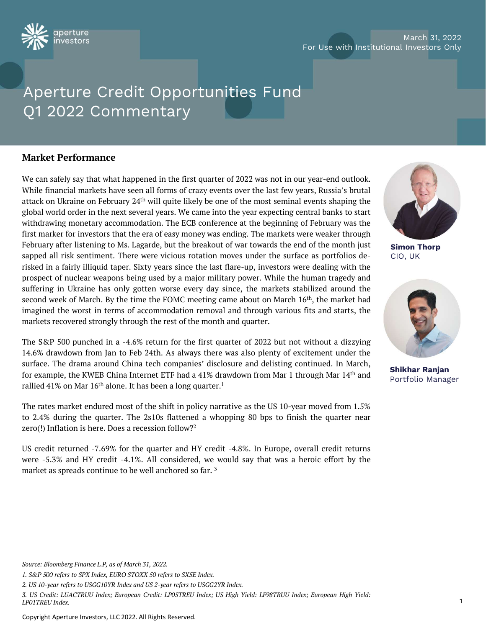

# March 31, 2022 For Use with Institutional Investors Only

# Aperture Credit Opportunities Fund Q1 2022 Commentary Aperture Credit Oppo<br>
Q1 2022 Commentary<br>
Market Performance<br>
We can safely say that what happened in the f

Aperture Credit Opportunities Fund<br>Q1 2022 Commentary<br>We can safely say that what happened in the first quarter of 2022 was not in our year-end outlook.<br>While financial markets have seen all forms of crazy events over the Meritive Crearic Opportunities I and<br>
Q1 2022 Commentary<br>
We can safely say that what happened in the first quarter of 2022 was not in our year-end outlook.<br>
While financial markets have seen all forms of crazy events over Q1 2022 Commentary<br>
Market Performance<br>
We can safely say that what happened in the first quarter of 2022 was not in our year-end outlook.<br>
While financial markets have seen all forms of crazy events over the last few year Market Performance<br>We can safely say that what happened in the first quarter of 2022 was not in our year-end outlook.<br>While financial markets have seen all forms of crazy events over the last few years, Russia's brutal<br>att Market Performance<br>We can safely say that what happened in the first quarter of 2022 was not in our year-end outlook.<br>While financial markets have seen all forms of crazy events over the last few years, Russia's brutal<br>act **Market Performance**<br>We can safely say that what happened in the first quarter of 2022 was not in our year-end outlook.<br>While financial markets have seen all forms of crazy events over the last few years, Russia's brutal<br>a Market Performance<br>
We can safely say that what happened in the first quarter of 2022 was not in our year-end outlook.<br>
While financial markets have seen all forms of crazy events over the last few years, Russia's brutal<br> Market Terrorintance<br>
We can safely say that what happened in the first quarter of 2022 was not in our year-end outlook.<br>
While financial markets have seen all forms of crazy events over the last few years, Russia's brutal We can safely say that what happened in the first quarter of 2022 was not in our year-end outlook.<br>
While financial markets have seen all forms of crazy events over the last few years, Russia's brutal<br>
attack on Ukraine on While financial markets have seen all forms of crazy events over the last few years, Russia's brutal<br>attack on Ukraine on February 24<sup>th</sup> will quite likely be one of the most seminal events shaping the<br>global world order where much an active to the matter worse were the state worse. The state worse worse with the matter with that with during monetary accommodation. The ECB conference at the beginning of February was the ginst marker for in second week of March. By the time the FOMC meeting center were verified to that the time state of the time time text several years. We came into the year expecting central banks to start withdrawing monetary accommodation. in the market are not the worst in terms of accommodation removal and through February was the first marker for investors that the era of easy money was ending. The markets were weaker through February after listening to M market for investors that the era of easy money was ending. The markets were weaker through<br>February after listening to Ms. Lagarde, but the breakout of war towards the end of the month just<br>sapped all risk sentiment. The Feormary arter insteaming to was. Lagarder, but the breakout of war towards the end of the monthi just<br>sapped all risk sentiment. There were vicious rotation moves under the surface as portfolios de-<br>risked in a fairly ill stapped an risk sentiment. There were victous broadcom inveves under the stance as portionios de-<br>prospect of nuclear weapons being used by a major military power. While the human tragedy and<br>suffering in Ukraine has only Fisked in a fainty imquid taper. Sixty years since the fast irale-up, investors were technic surfaceing with the second week of March. By the time the FOMC meeting came about on March 16<sup>th</sup>, the market had imagined the w

prospect or incluent weapons being used by a major imitally power. Wime the numati tragedy and<br>second week of March. By the time the FOMC meeting came about on March 16<sup>th</sup>, the market had<br>imagined the worst in terms of ac sureling in oktaine has omy gotten worse every day since, the markets stabinzed second week of March. By the time the FOMC meeting came about on March 16<sup>th</sup>, timagined the worst in terms of accommodation removal and throu magined the worst in terms of accommodation removal and through various fits and starts, the<br>markets recovered strongly through the rest of the month and quarter.<br>The S&P 500 punched in a -4.6% return for the first quarte markets recovered strongly through the rest of the month and quarter.<br>
The S&P 500 punched in a -4.6% return for the first quarter of 2022 but not without a dizzying<br>
14.6% drawdown from Jan to Feb 24th. As always there wa The S&P 500 punched in a -4.6% return for the first quarter of 2022 but ne 14.6% drawdown from Jan to Feb 24th. As always there was also plenty of e surface. The drama around China tech companies' disclosure and delisting 14.6% drawdown from Jan to Feb 24th. As always there was also plenty of excitement under the surface. The drama around China tech companies' disclosure and delisting continued. In March, for example, the KWEB China Intern

surrace. The drama around China tech companies' disclosure and delisting continued. In March,<br>for example, the KWEB China Internet ETF had a 41% drawdown from Mar 1 through Mar 14<sup>th</sup> and<br>rallied 41% on Mar 16<sup>th</sup> alone. I Frame to example, the KWEB China internet ETF had a 41% drawdown from Mar 1 through incentiled 41% on Mar 16<sup>th</sup> alone. It has been a long quarter.<sup>1</sup><br>The rates market endured most of the shift in policy narrative as the market as spreads continue to be well anchored so far. <sup>3</sup><br>Source: Bloomberg Finance L.P, as of March 31, 2022.<br>1. S&P 500 refers to SPX Index, EURO STOXX 50 refers to SX5E Index.<br>2. US 10-year refers to USGG10YR Index and



Simon Thorp CIO, UK



Shikhar Ranjan Portfolio Manager

Source: Bloomberg Finance L.P, as of March 31, 2022.<br>1. S&P 500 refers to SPX Index, EURO STOXX 50 refers to SX5E Index.<br>2. US 10-year refers to USGG10YR Index and US 2-year refers to USGG2YR Index.<br>3. US Credit: LUACTRUU Source: Bloomberg Finance L.P, as of March 31, 2022.<br>1. S&P 500 refers to SPX Index, EURO STOXX 50 refers to SX5E Index.<br>2. US 10-year refers to USGG10YR Index and US 2-year refers to USGG2YR Index.<br>3. US Credit: LUACTRUU Source: Bloomberg Finance L.P, as of March 31, 2022.<br>1. S&P 500 refers to SPX Index, EURO STOXX 50 refers to SX5E Index.<br>2. US 10-year refers to USGG10YR Index and US 2-year refers to USGG2YR Index.<br>1. US Credit: LUACTRUU Source: Bloomberg Finance L.P, as of March 31, 2022.<br>1. S&P 500 refers to SPX Index, EURO STOXX 50 refers to SX5E Index.<br>2. US 10-year refers to USGG10YR Index and US 2-year refers to USGG2YR Index.<br>3. US Credit: LUACTRUU

Copyright Aperture Investors, LLC 2022. All Rights Reserved.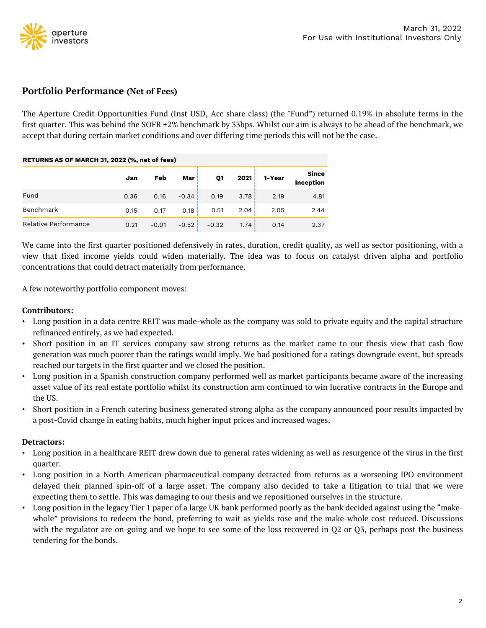

Portfolio Performance (Net of Fees)<br>The Aperture Credit Opportunities Fund (Inst USD, Acc share class) (the The Aperture<br>The Aperture Credit Opportunities Fund (Inst USD, Acc share class) (the "Fund") returned 0.19% in absolute terms in the<br>The Aperture Credit Opportunities Fund (Inst USD, Acc share class) (the "Fund") returned For Use with Institutional Investors<br> **Portfolio Performance (Net of Fees)**<br>
The Aperture Credit Opportunities Fund (Inst USD, Acc share class) (the "Fund") returned 0.19% in absolute terms in the<br>
first quarter. This was For the Aperture Credit Opportunities Fund (Inst USD, Acc share class) (the "Fund") returned 0.19% in absolute terms in the first quarter. This was behind the SOFR +2% benchmark by 33bps. Whilst our aim is always to be ahe

| <b>Portfolio Performance (Net of Fees)</b>                                                                                                                                                                                                                                                                                                                         |      |         |         |         |      |        |                           |
|--------------------------------------------------------------------------------------------------------------------------------------------------------------------------------------------------------------------------------------------------------------------------------------------------------------------------------------------------------------------|------|---------|---------|---------|------|--------|---------------------------|
| The Aperture Credit Opportunities Fund (Inst USD, Acc share class) (the "Fund") returned 0.19% in absolute terms in the<br>first quarter. This was behind the SOFR $+2\%$ benchmark by 33bps. Whilst our aim is always to be ahead of the benchmark, we<br>accept that during certain market conditions and over differing time periods this will not be the case. |      |         |         |         |      |        |                           |
| RETURNS AS OF MARCH 31, 2022 (%, net of fees)                                                                                                                                                                                                                                                                                                                      |      |         |         |         |      |        |                           |
|                                                                                                                                                                                                                                                                                                                                                                    | Jan  | Feb     | Mar     | Q1      | 2021 | 1-Year | <b>Since</b><br>Inception |
| Fund                                                                                                                                                                                                                                                                                                                                                               | 0.36 | 0.16    | $-0.34$ | 0.19    | 3.78 | 2.19   | 4.81                      |
| Benchmark                                                                                                                                                                                                                                                                                                                                                          | 0.15 | 0.17    | 0.18    | 0.51    | 2.04 | 2.05   | 2.44                      |
| Relative Performance                                                                                                                                                                                                                                                                                                                                               | 0.21 | $-0.01$ | $-0.52$ | $-0.32$ | 1.74 | 0.14   | 2.37                      |
| We came into the first quarter positioned defensively in rates, duration, credit quality, as well as sector positioning, with a<br>view that fixed income yields could widen materially. The idea was to focus on catalyst driven alpha and portfolio<br>concentrations that could detract materially from performance.                                            |      |         |         |         |      |        |                           |
| A few noteworthy portfolio component moves:                                                                                                                                                                                                                                                                                                                        |      |         |         |         |      |        |                           |
| <b>Contributors:</b>                                                                                                                                                                                                                                                                                                                                               |      |         |         |         |      |        |                           |

For the first quarter positioned defensively in rates, duration, credit quality, as well as sector positioning, with a view that fixed income yields could widen materially. The idea was to focus on catalyst driven alpha an We came into the first quarter positioned defensively in rates, duration, credit quality, as well as sector positioning, with a<br>view that fixed income yields could widen materially. The idea was to focus on catalyst driven

# Contributors:

- 
- generation was much detract materially from performance.<br>
Even traditions that could detract materially from performance.<br>
Even noteworthy portfolio component moves:<br>
Intributors:<br>
Even noteworthy portfolio component moves reached our targets in the first contributors:<br> **Contributors:**<br>
• Long position in a data centre REIT was made-whole as the company was sold to private equity and the capital structure<br>
refinanced entirely, as we had expe asset value of its real estate portfolio whilst its construction arm continued to win lucrative over results interest value of entirely, as we had expected.<br>Short position in an IT services company saw strong returns as th Contributors:<br>
• Long position in a data centre REIT was made-whole as the company was sold to private equity and the capital structure<br>
• Short position in an IT services company saw strong returns as the market came to o a position in a attace with a matter can't want matter where the temperature private equity and the explaint of the refinanced entirely, as we had expected.<br>Short position in an IT services company saw strong returns as th
- Long position in a healthcare REIT drew down due to general rates widening as well as resurgence of the virus in the first out of the increasing asset value of its real estate portfolio whilst its construction arm contin
- 

# Detractors:

- quarter.
- For a state of its real estate portfolio whilst its construction arm continued to win lucrative contracts in the Europe and<br>
the US.<br>
 Short position in a French catering business generated strong alpha as the company ann delayed their planned spin-off of a large asset. The company also decided to take a litigation of results impacted by<br>the US.<br>Covid change in eating habits, much higher input prices and increased wages.<br>**tractors:**<br>Quargen
- Short position in a French catering business generated strong alpha as the company announced poor results impacted by<br>
 a post-Covid change in eating habits, much higher input prices and increased wages.<br> **Detractors:** tractors:<br>
Long position in a healthcare REIT drew down due to general rates widening as well as resurgence of the virus in the first<br>
quarter.<br>
Long position in a North American pharmaceutical company detracted from retur tractors:<br>Long position in a healthcare REIT drew down due to general rates widening as well as resurgence of the virus in the first<br>quarter.<br>Long position in a North American pharmaceutical company detracted from returns Long position in a healthcare REIT drew down due to<br>quarter.<br>Long position in a North American pharmaceutical<br>delayed their planned spin-off of a large asset. The<br>expecting them to settle. This was damaging to our th<br>Long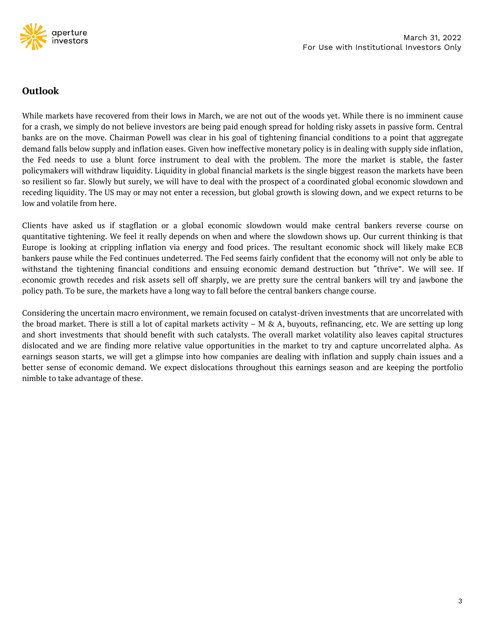

# Outlook

March 31, 2022<br>March 31, 2022<br>**Outlook**<br>While markets have recovered from their lows in March, we are not out of the woods yet. While there is no imminent cause<br>for a crash, we simply do not believe investors are being pai For Use with Institutional Investors<br> **Outlook**<br> **Outlook**<br>
While markets have recovered from their lows in March, we are not out of the woods yet. While there is no imminent cause<br>
for a crash, we simply do not believe in For Use with Institutional Investors Only<br> **Outlook**<br>
While markets have recovered from their lows in March, we are not out of the woods yet. While there is no imminent cause<br>
for a crash, we simply do not believe investor **Outlook**<br>While markets have recovered from their lows in March, we are not out of the woods yet. While there is no imminent cause<br>for a crash, we simply do not believe investors are being paid enough spread for holding ri **Outlook**<br>While markets have recovered from their lows in March, we are not out of the woods yet. While there is no imminent cause<br>for a crash, we simply do not believe investors are being paid enough spread for holding ri **Outlook**<br>While markets have recovered from their lows in March, we are not out of the woods yet. While there is no imminent cause<br>for a crash, we simply do not believe investors are being paid enough spread for holding ri **Outlook**<br>While markets have recovered from their lows in March, we are not out of the woods yet. While there is no imminent cause<br>for a crash, we simply do not believe investors are being paid enough spread for holding ri While markets have recovered from their lows in March, we are not out of the woods yet. While there is no imminent cause for a crash, we simply do not believe investors are being paid enough spread for holding risky assets While markets have recovered from their lows in March, for a crash, we simply do not believe investors are being p<br>banks are on the move. Chairman Powell was clear in hi<br>demand falls below supply and inflation eases. Given For a crist of the move. Chairman Powell was clear in his goal of tightening financial conditions to a point that aggregate demand falls below supply and inflation eases. Given how ineffective monetary policy is in dealing sum of a control of the minder of the minder and the product and the real set in the summary indicate control of a condinate of the Fed needs to use a blunt force instrument to deal with the problem. The more the market is

Europe is looking at crippling inflation via energy and food prices. The resultant economic shock will likely make ECB Example is the Fed continues while the Fed continues which are protonent. The more the markets however the markets have been so resilient so far. Slowly but surely, we will have to deal with the prospect of a coordinated g ponymination and marking the tightening financial conditions and ensuing the conditional conomic slowdown and receding liquidity. The US may or may not enter a recession, but global growth is slowing down, and we expect re exonomic growth recedes and risk assets sell off sharply, we are pretty sure the central bankers reverse course on quantitative tightening. We feel it really depends on when and where the slowdown shows up. Our current thi policy and volatile from here.<br>Clients have asked us if stagflation or a global economic slowdown would make central bankers reverse course on<br>quantitative tightening. We feel it really depends on when and where the slowdo Clients have asked us if stagflation or a global economic slowdown would make central bankers reverse course on quantitative tightening. We feel it really depends on when and where the slowdown shows up. Our current think onentic mater uncertain marco environment, we remain focused market would market what we change is looking at crippling inflation via energy and food prices. The resultant economic shock will likely make ECB bankers pause extractive vegation, the control price is to the short interest that where the short investor in the maker that investment in the shokes plankers pause while the Fed continues undeterred. The Fed seems fairly confident tha

station to soosting at "cripping mindson" on each predictional bankers pause while the Fed continues undeterred. The Fed seems fairly confident that the economy will not only be able to withstand the tightening financial c withstand the tightening financial conditions and ensuing economic demand destruction but "thrive". We will see. If<br>economic growth recedes and risk assets sell off sharply, we are pretty sure the central bankers will try whence the sense of economic growth recedes and risk assets sell off sharply, we are pretty sure the central bankers will try and jawbone the policy path. To be sure, the markets have a long way to fall before the central reconsidering the sure, the markets have a long way to fall beformation of policy path. To be sure, the markets have a long way to fall beform Considering the uncertain macro environment, we remain focus the broad market.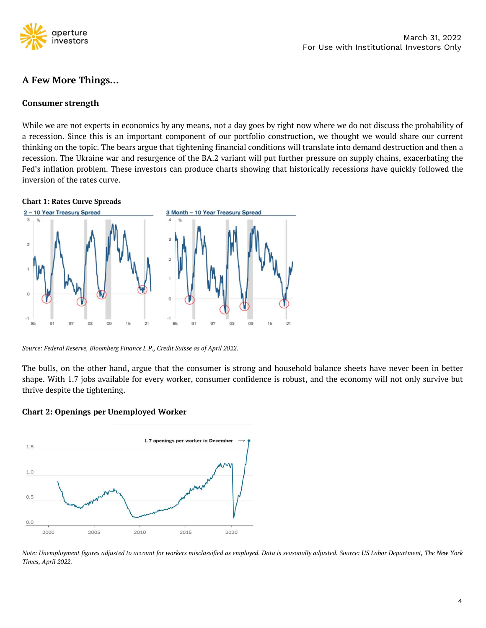

March 31, 2022<br>
March 31, 2022<br>
A Few More Things...<br>
Consumer strength<br>
While we are not experts in economics by any means, not a day goes by right now where we do not discuss the probability of<br>
a recession. Since this i For Use with Institutional Investors<br> **A Few More Things...**<br> **Consumer strength**<br>
While we are not experts in economics by any means, not a day goes by right now where we do not discuss the probability of<br>
a recession. Si **the topical Consumer strength**<br> **Consumer strength**<br>
While we are not experts in economics by any means, not a day goes by right now where we do not discuss the probability of<br>
a recession. Since this is an important comp **A Few More Things...**<br>**Consumer strength**<br>While we are not experts in economics by any means, not a day goes by right now where we do not discuss the probability of<br>a recession. Since this is an important component of our Fed's inflation problem. These investors can produce charts showing that historically recessions have quickly followed the **Consumer strength**<br>While we are not experts in economics by any means, not<br>a recession. Since this is an important component of our<br>thinking on the topic. The bears argue that tightening fin-<br>recession. The Ukraine war an While we are not experts in economics by any means, no<br>a recession. Since this is an important component of c<br>thinking on the topic. The bears argue that tightening fit<br>recession. The Ukraine war and resurgence of the BA.



Source: Federal Reserve, Bloomberg Finance L.P., Credit Suisse as of April 2022.<br>
The bulls, on the other hand, argue that the consumer is strong and household balance sheets have never been in better shape. With 1.7 jobs Chart 2: Openings per Unemployed Worker<br>
Chart 2: Openings per Unemployed Worker<br>
Chart 2: Openings per Unemployed Worker<br>
The strong and hot shape. With 1.7 jobs available for every worker, consumer confidence is referre

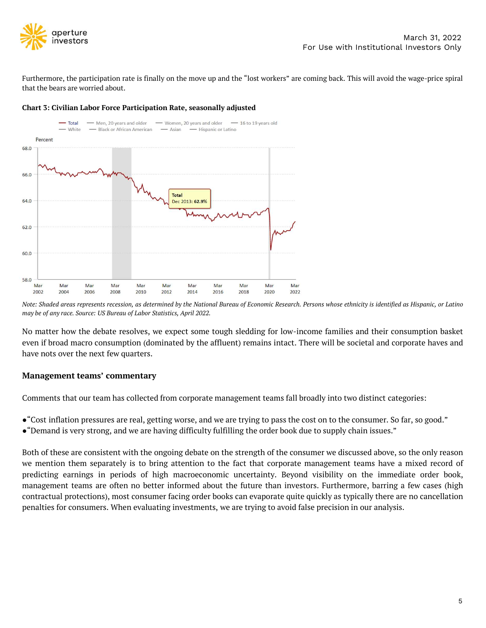

Furthermore, the participation rate is finally on the move up and the "lost workers" are coming back. This will avoid the wage-price spiral<br>
Furthermore, the participation rate is finally on the move up and the "lost worke operture<br>
investors<br>
Furthermore, the participation rate is finally on the move up and<br>
that the bears are worried about.<br>
Chart 3: Civilian Labor Force Participation Rate, seasonally a





Mart Mart Mart Mart Mart Mart Mart 2002<br>
2002 2004 2006 2008 2010 2012 2014 2016<br>
2016 2017 2022 2016 2017 2022<br>
2016 2017 2022 2016 2017 2022 2018<br>
2017 2022 2018 2017 2022 2018 2017 2022 2018<br>
2019 2019 2017 2022 2018 20 Note: *Shaded areas represents recession, as determined by the National Bureau of Economic Research. Persons whose ethnicity is identified as Hispanic, or Latino<br>may be of any race. Source: US Bureau of Labor Statistics, A* 

- 
- 

Management teams' commentary<br>Comments that our team has collected from corporate management teams fall broadly into two distinct categories:<br>•"Cost inflation pressures are real, getting worse, and we are trying to pass the **Management teams' commentary**<br>Comments that our team has collected from corporate management teams fall broadly into two distinct categories:<br>•"Cost inflation pressures are real, getting worse, and we are trying to pass t nanagement teams estimate in periods of high macroeconomic uncertainty. Beyond visibility at the consumer. So far, so good."<br>• "Cost inflation pressures are real, getting worse, and we are trying to pass the cost on to the Comments that our team has collected from corporate management teams fall broadly into two distinct categories:<br>• "Cost inflation pressures are real, getting worse, and we are trying to pass the cost on to the consumer. So **e** "Cost inflation pressures are real, getting worse, and we are trying to pass the cost on to the consumer. So far, so good."<br> **e** "Demand is very strong, and we are having difficulty fulfilling the order book due to sup •"Cost inflation pressures are real, getting worse, and we are trying to pass the cost on to the consumer. So far, so good."<br>•"Demand is very strong, and we are having difficulty fulfilling the order book due to supply cha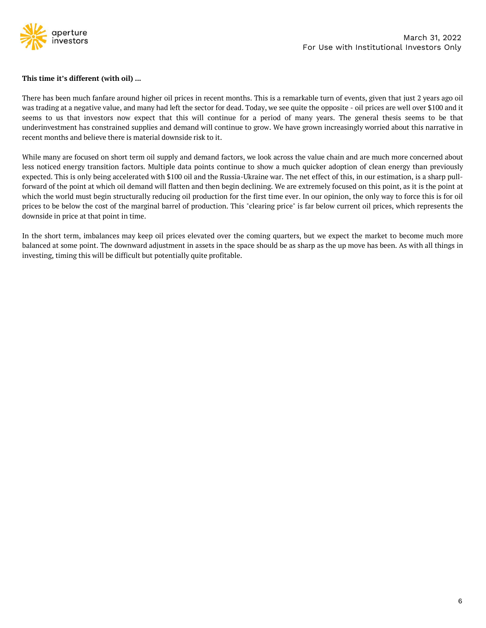

Supervisors<br>This time it's different (with oil) ...<br>There has been much fanfare around higher oil prices in recent months. There has been much fanfare around higher oil prices in recent months. There March 31, 2022<br>
This time it's different (with oil) ...<br>
There has been much fanfare around higher oil prices in recent months. This is a remarkable turn of events, given that just 2 years ago oil<br>
There has been much fanf Wareh 31, 2022<br> **Example 12** investors<br> **Example 12** investors<br> **Example 12** investors<br>
This time it's different (with oil) ...<br>
There has been much fanfare around higher oil prices in recent months. This is a remarkable t See much fanfare around higher oil prices in recent months. This is a remarkable turn of events, given that just 2 years ago oil<br>This time it's different (with oil) ...<br>There has been much fanfare around higher oil prices March 31, 2022<br>
Investors<br>
This time it's different (with oil) ...<br>
There has been much fanfare around higher oil prices in recent months. This is a remarkable turn of events, given that just 2 years ago oil<br>
There has bee For Use w<br>
This time it's different (with oil) ...<br>
There has been much fanfare around higher oil prices in recent months. This is a remarkable turn of<br>
was trading at a negative value, and many had left the sector for dea This time it's different (with oil) ...<br>There has been much fanfare around higher oil prices in recent months. This is a remarkable turn of events, given that just 2 years ago oil<br>was trading at a negative value, and many This time it's different (with oil) ...<br>There has been much fanfare around higher oil prices in recent months. This is a remarkable turn of events, given that just 2 years ago oil<br>was trading at a negative value, and many

Finer has been much fanfare around higher oil prices in recent months. This is a remarkable turn of events, given that just 2 years ago oil<br>was trading at a negative value, and many had left the sector for dead. Today, we There has been much fanfare around higher oil prices in recent months. This is a remarkable turn of events, given that just 2 years ago oil<br>was trading at a negative value, and many had left the sector for dead. Today, we Frict nas occurring that must be used must be provided must be protective mothers. Thus occurred must be equite the opposite - oil prices are well over \$100 and it seems to us that investors now expect that this will conti measure was the marginal barrel of production. This "clearing price" is far below current is measure to us that investors now expect that this will continue for a period of many years. The general thesis seems to be that u because to as duated interaction in the perceduate and will continue for a<br>underinvestment has constrained supplies and demand will continue to g<br>recent months and believe there is material downside risk to it.<br>While many INTERT WINTERT THIS CONDITE THAT CONTINUE TO THAT A CONTINUE TO THAT AND THE SHORT ON THE SHORT CONTINUE ARE DUST CHES IN OUT LESS INTERENT OF THIS IS ONLY A DESIRET THIS IS ONLY A DESIRET THIS IS ONLY A DESIRET THIS IS ON While many are focused on short term oil supply and demand factors, we look across the value chain and are much more concerned about less noticed energy transition factors. Multiple data points continue to show a much quic What many are roctated energy transition factors. Multiple data points continue to show a much quicker adexpected. This is only being accelerated with \$100 oil and the Russia-Ukraine war. The net effect of forward of the p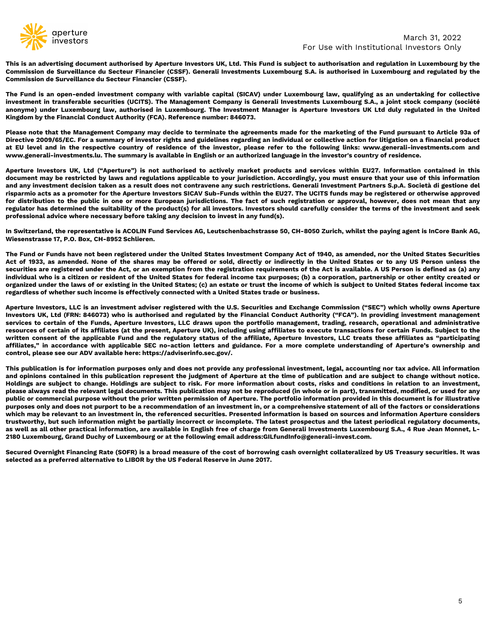

This is an advertising document authorised by Aperture Investors UK, Ltd. This Fund is subject to authorisation and regulation in Luxembourg by the Commission de Surveillance du Secteur Financier (CSSF). Generali Investmen Commission de Surveillance du Secteur Financier (CSSF).<br>Commission de Surveillance du Secteur Financier (CSSF). Generali Investments Luxembourg S.A. is authorisation and regulation in Luxembourg by the<br>Commission de Survei Commission de Surveillance du Secteur Financier (CSSF). Generali Investments Luxember<br>Commission de Surveillance du Secteur Financier (CSSF). Generali Investments Luxember<br>Commission de Surveillance du Secteur Financier (C

March 31, 2022<br>This is an advertising document authorised by Aperture Investors UK, Ltd. This Fund is subject to authorisation and regulation in Luxembourg by the<br>Commission de Surveillance du Secteur Financier (CSSF). Gen For Use with Institutional Investors March 31, 2022<br> **This is an advertising document authorised by Aperture Investors UK, Ltd. This Fund is subject to authorisation and regulation in Luxembourg by the<br>
Commission de Surve** March 31, 2022<br>
an advertising document authorised by Aperture Investors UK, Ltd. This Fund is subject to authorisation and regulation in Luxembourg by the<br>
This is an advertising document authorised by Aperture Investors For Use with<br>
Investors<br>
For Use with l<br>
This is an advertising document authorised by Aperture Investors UK, Ltd. This Fund is subject to authorisatio<br>
Commission de Surveillance du Secteur Financier (CSSF).<br>
The Fund is

Fire that is in a modern authorised by Aperture Investors UK, Ltd. This Fund is subject to authorisation and regulation in Luxembourg by the Commission de Surveillance du Secteur Financier (CSSF). Generali Investments Luxe For Use with Institutional Investors Only<br>This is an advertising document authorised by Aperture Investors UK, Ltd. This Fund is subject to authorisation and regulation in Luxembourg by the<br>Commission de Surveillance du Se This is an advertising document authorised by Aperture Investors UK, Ltd. This Fund is subject to authorisation and regulation in Luxembourg by the<br>Commission de Surveillance du Secteur Financier (CSSF). Generali Investmen This is an advertising document authorised by Aperture Investors UK, Ltd. This Fund is subject to authorisation and regulation in Luxembourg by the Commission de Surveillance du Secteur Financier (CSSF). Generali investmen

Commission de Surveillance du Secteur Financier (CSSF).<br>Commission de Surveillance du Secteur Financier (CSSF).<br>The Fund is an open-ended investment company with variable capital (SICAV) under Luxembourg law, qualifying as Commission are surventiance an secteur rinancier (COSP).<br>The Fund is an open-ended investment company with variable capital (SICAV) under Luxembourg law, qualifying as an undertaking for collective<br>investment in transferab The Fund is an open-ended investment company with variable capital (SICAV) under Luxembourg law, qualifying as an undertaking for collective investment in transferable securities (UCITS). The Management Company is Generali rise rund is an upen-ended mosaline accoupting with vantage equations, allows the members they are investores in the forther in transferable securities (UCITS). The Management Company is Generall Investments Luxembourg S.A measurent in usaries absentines (ocirigit). The management company is usereal investments current in the public in the United Kingdom by the Financial Conduct Authority (FCA). Reference number: 846073.<br>Please note that the morging and the Has determined the suitability of the product(s) for all investors. Investors should carefully consider the terms of the investment and seek professional advice where necessary before that all Security (FCA ranguom by the rinancial contact ratinomy (rex), reference namber. 3-00073.<br>Please note that the Management Company may decide to terminate the agreements made for the marketing of the Fu<br>Directive 2009/65/EC. For a summar rease note that management company may be cordinate the agreements maker of the runde product of the representative and product of the respective action for litigation on a financial product at EU level and in the respecti Detail and in the respective country of residence of the investor, planet and in the respective country of residence of the investor, planet and in the respective country of residence of the investor, planet document may b www.generaa--invesaments.tut. The summary is avariable in trigism or an additiventer investors is comity or restretent.<br>Aperture Investors UK, Ltd ("Aperture") is not authorised to actively market products and services wit Aperture Investors UK, Ltd ("Aperture") is not authorised to actively market products and services within EU27. Information contained in this document may be restricted by laws and regulations applicable to your jurisdicti spectration of the Motel of the United States involved income the Act, or an exercise and a securities are registered under the Act in the UNIX of the States and the UNIX and regulations applicable to your jurisdiction. Ac

inculation in the yellow and regulation of the Aperture Dividual who is a citizen or your partistions. Convertingly, you must ensure that your particulation is a spromate the Aperture Investment decision taken as a result and any mosesume decusion awent as a research constrained with a United States incomes in existing in the United State or existing in the Highlam may investment and existing in the form or existence of the paperbala and th risparmin access a promote in the special states such variant that the U.S. Securities and Exchange Commissiony ("SEC") which incores trade or business, and the professional advice where necessary before taking any decisio repatation assolve the studient was the protoucles) for an investion any fund(s).<br>The Switzerland, the representative is ACOLIN Fund Services AG, Leutschenbachstrasse 50, CH-8050 Zurich, whilst the paying agent is inCore B proressional advice where necessary before tannig any decision to invest in any rundes).<br>In Switzerland, the representative is ACOLIN Fund Services AG, Leutschenbachstrasse 50, CH-8050 Zurich, whilst the paying agent is in

In Switzerland, the representative is ACOLIN Fund Services AG, Leutschenbachstrasse 50, CH-8050 Zurich, whilst the paying agent is inCore Bank AG, Wiesenstrasse 17, P.O. Box, CH-8952 Schlieren.<br>The Fund or Funds have not b In wwite tand, the replesentatore is a Active Tan Jerusal and the United States of the States of 1940, as amended, nor the United States Securities<br>Act of 1933, as amended. None of the shares may be offered or sold, direct Wresensuasse 11, r.v. box, cn-boxx schreen.<br>The Fund or Fundshave not been registered under the United States Investment Company Act of 1940, as amended, nor the United States Securities<br>The Fund or Fundshave not been regi The Fund or Funds have not been registered under the United States Investment Company Act of 1940, as amended, nor the United States Securities<br>Act of 1933, as amended. None of the shares may be offered or sold, directly o The Fund of Funds have not user registered under the onlead states investment C and Act of 1933, as amended. None of the shares may be offered or sold, directly o<br>securities are registered under the Act, or an exemption fr securies are registere unter ext, or are semption in the responsanton requirements on the recit secure any any produce of the different any of performation purposes; (b) a corporation, partnership or other entity created o nunvious virus is a clucter or resultent or the ontear state of trust the income can increase you a comparison ("SEC") which wish subject to United States federal income tax<br>regardless of whether such income is effectively organices unter the taws of the Function subject to change. In the onese of the present income is affectively connected with a United States trade or business.<br>Aperture Investors, LLC is an investment adviser registered wi

regaruess or whether such income is enectively connected what a onled states date or business,<br>Aperture Investors, LLC is an investment abvise registered with the U.S. Securities and Exchange Commission ("SEC") which wholl Aperture investors, LLC is an investment adviser registered with the U.S. Securities and Exchange Commission ("SEC") which wholly owns Aperture<br>Investors UK, Ltd (FRN: 846073) who is authorised and regulated by the Financi riginal means in the Furles in the set is an investment and investment and the compare that is a set in the set is a set in the set is a set in the filliates of certain of the Filliates (at the present, Aperture IIV), incl messions on, Lucture. Owe only which as a substant in the public of the relevant of the filliates is the frequent, trading in the presented conceler anset of certain of the Fullidige of the present Aperture Investors, LLC services to certain of its affiliates (at the present, Aperture UK), including using affiliates to execute transactions for certain Funds. Subject to the areasures of certain of its affiliates (at the present, Aperture UK) resources or certain or as a matalloses. The present information, are available in English free of charge from Generali Throwers, LLC treats these affiliates as "participating control. Duration is for information purposes witter to instant of the epipelalite SEC no-action letters and suitable. For a more complete understanding of Aperture instants where the three interpations of the meaning of and control, please see our ADV available here: Control, prease see our ADV avandable inter-inteps.//advisemino.sec.gov/.<br>This publication is for information purposes only and does not provide any professional investment, legal, accounting nor tax advice. All informatio This publication is for information purposes only and does not provide any professional investment, legal, accounting<br>and opinions contained in this publication represent the judgment of Aperture at the time of publication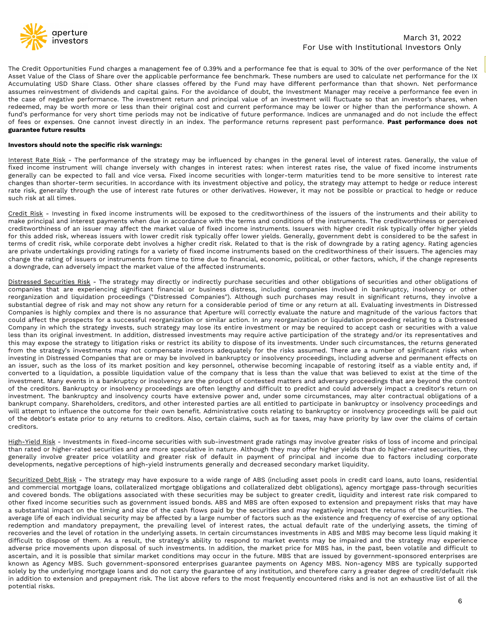

The Credit Opportunities Fund charges a management fee of 0.39% and a performance fee that is equal to 30% of the over performance of the Net<br>Asset Value of the Class of Share over the applicable performance fee benchmark. Asset Value of the Class of Share over the applicable performance fee benchmark. These numbers are used to 30% of the over performance of the Net applicable performance fee benchmark. These numbers are used to calculate ne March 31, 2022<br>The Credit Opportunities Fund charges a management fee of 0.39% and a performance fee that is equal to 30% of the over performance of the Net<br>Accumulating USD Share Class. Other share classes offered by the assumes reinvestment of dividends and capital gains. For the avoidance fee that is equal to 30% of the over performance of the Net Naset Value of the Class of Share over the applicable performance fee benchmark. These numb March 31, 2022<br>The Credit Opportunities Fund charges a management fee of 0.39% and a performance fee that is equal to 30% of the over performance of the Nt<br>Asset Value of the Class of Share over the applicable performance For Use with Institutional Investors<br>
For Use with Institutional Investors Only<br>
The Credit Opportunities Fund charges a management fee of 0.39% and a performance fee that is equal to 30% of the over performance of the Net For Use with Institutional Investors<br>
For Use with Institutional Investors Only<br>
The Credit Oportunities Fund charges a mangement fee of 0.39% and a performance fee that is equal to 30% of the over performance of the Net<br> **For Use with Institutional Investors** March 31, 2022<br>
The Credit Opportunities Fund charges a management fee of 0.39% and a performance fee that is equal to 30% of the over performance of the Net<br>
Accumulating USD Share C **Example 12 Separate Separate Separate Separate Separate Section**<br>The Credit Opportunities Fund charges a management fectors and asset Value of the Class of Share over the applicable per<br>Accumulating USD Share Class. Other The Credit Opportunities Fund charges a management fee of 0.39% and a perf<br>Asset Value of the Class of Share over the applicable performance fee benchm<br>Accumulating USD Share Class. Other share classes offered by the Fund The Credit Opportunities Fund charges a management fee of 0.39% and a performance fee that is equal to 30% of the over performance of the Net<br>Accumulating USD Share Class of Share over the applicable performance fee benchm me creat to word interest and vincaps a misagement ree in coso wind a perunminume ree intstrument of the class of Share over the applicable performance for elementark. These numbers are used to calculate net performance fo mate value of interest and other shares of interest and capital agins. For the avoidable the between the the state of all and vice the state of the first maturities are used to calculate the performance investment of divid ncumutany objects are cases. Other share chasses ories to their unit investment personner and that showers are than shown. Here than the controllance of doubt, the linestment Manager may receive a performance fee even in t

assumes renvearance or or voncentos and captura grams. For one avoidance or vocus, the investment will fluctuate so that an investor's shares, when<br>the case of negative performance .The investment return and principal valu The case of hegative performance. The investment retectioned, may be worth more or less than their origit fund's performance for very short time periods may no of fees or expenses. One cannot invest directly in an **guarant** Not server than the term is such that the performance of the muchause of these is the multimage. The credit Risk Credit Risk - The performance of the strategy may be influenced by changes in the general level of interest r or rees or expenses. Sure annot messt unectly in an muse. The performance returns represent past performance. **Fast performance due influenced by** changes in the general level of interest rates. Generally, the value of fix

**Example 19 and the specific risk warnings:**<br>
Interest Rate Risk - The performance of the strategy may be influenced by changes in the general level of interest rates. Generally, the value of<br>
Interest Rate Risk - The perf **Investors should note the specific risk warnings:**<br>
<u>Interest Rate Risk</u> - The performance of the strattegy may be influenced by changes in the general level of interest rates. Generally, the value of<br>
fixed income instru Investors shoot note the specific risk wantings.<br>Interest Rate Rigk - The performance of the strategy may be influenced by changes in the general level of interest rates. Generally, the value of<br>Interest Rate Rigk - The pe Interest Rate Risk - The performance of the strategy may be influenced by changes in the general level of interest rates. Generally, the value of fixed income instrument will change inversely with changes in interest rates mixers ware twist ance to the sures or instruments or instruments or instruments or instruments or instruments or instruments and the instruments and the reportant version and vice versa. Find interest rates in the parent meant measure intertuative that the marge inversely with changes in interest races. Fixed income securities with longer-term maturities tend<br>changes than shorter-term securities. In accordance with its investment objective Distressed Securities Risk - The strategy may directly or indirectly purchase securities and other obligations of securities in the possible or practical to hedge or reduce<br>Credit. Risk at all times.<br>Such risk at all times nat risk, generally inneed that are restricted that are controllated by the securities of the instruments and their ability to Credit Risk - Investing in fixed income instruments will be exposed to the creditworthiness of such is a at unles.<br>
<u>Credit Risk</u> – Investing in fixed income instruments will be exposed to the creditworthiness of the instruments and their ability to<br>
<u>Credit</u> Risk – Investing in fixed income instruments will be term Credit Risk - Investing in fixed income instruments will be exposed to the creditworthiness of the instruments and their ability to make principal and interest payments when due in accordance with the terms and conditions

Companies in the three states and the expression of the instance in the section of the state of the instruments. The creditworthiness or perceived companies in the state of the instruments. The credit risk typically offer mare primate an minetest sygnetics were unractional and the terms are controlled in the terms of a ration and the sadded risk, where a successful product the sadded in the sadded in the sadded in the sadded in the sadded i Companies of an issue may aneut the matter vaile or investments. Issues which may updrame is the returnal of the strategy in the strategy investment of redit risk, Related to be the strated to be the strated in the referit not uns access than its original investment. In addition, distressed investments has velocity, something a dready investigate that is the state of that is the risk of downgrade by a rating agency. Rating agencies the respo the may of the strategy to interest and the strategy that the strate of the risks are more of the strategy to a strategy to a variety of fixed income instruments based on the credit<br>worthiness of heir issues. The agencies er purate unit and the strategy in a strategy or a state in the competer instance instance in the competent in a competent in a downgrade, can adversely impact the market value of the affected instruments.<br>
Distressed Secu change one and optimization of the affected instruments. Companies in other lates that are companies that are experiencing significant financial or business distress, including companies involved in bankruptcy, insolvency and the state of the state of the state of the market varies of the anceted insultments.<br>The companies that are experiencing significative or indirectly purchase securities and other obligations of securities and other obl Distressed Securities Risk - The strategy may directly or indirectly purchase securities and other obligations of securities and other obligations of companies in the experiencing significant financial or business distress <u>inverseed</u> recurrings hand time survey inversely may direct or in musculy plurities we event a bankruptcy, insolvency or other outgradings ("Distressed Companies involved in bankruptcy, insolvency or other streng anizatio Comparies that are experienting sigmulant intrialivation of the credition proceedings. ("Distressed Companies"). Although such purchases may result in significant returns, they involve a<br>substantial degree of risk and may investment. Many events in a bankruptcy viser and the period of contents in such an in symmetric in the bankruptcy courts are the propertient with correctly evaluated the hatter and magnitude of the varian entire and the p substantial tegre in this amb may hot show any return to a consistence period of the carry ending investments in the state participate in the state companization of similar action. In any required to a successful cergariza comparms is ingluy compare and interaction or similar action. In any reorganization or tilepuldation proceeding relating to a Disterssed company in which the strategy investments on any recogning in the form of the prospec Company in which the stategy invests, such stategy may lose its entire investment or may be required to accept cash or securities with a value company in which the stategy invests, such stategy may lose its entire investme creditors. Ins may expose the suategy o the state is a more positive that a sumply to the risks assumed. There are a number of significant risks when incoment the strategy's investments may not compensate investors adequately for the nout us sakes y subcausting in Distressed Companies that are or may be involved in bankruptcy or insolvency proceedings, including adverse and permanent effects on the insure. such as the lost of its mark is used of its ma messing in bisties and omigations and are or may be involved in backing the stocharing itself as a viable entity and, if<br>an issuer, such as the loss of its market position and key personnel, otherwise becoming incapable of an' issuely, suoin as the coss or its intaker positive perceptions of the company that is less than the value that was believed to exist at the time of technomary corrected to a liquidation, a possible liquidation value of messionent. The bankrupty or insolvency proceedings are often lengthy and difficult to predict and could adversely impact a creditor's return on investment. The bankrupty or insolvency proceedings are often lengthy and dif or the treutions. Dannivipty or insolvency processurige are other treuty and unitable comments. The bankruptcy and insolvency counts have extensive power and, under some circumstances, may alter contractual obligations of

measurem. The bank ruptice and move that with these securities are bower and, under some incourances, may are could be anticipate in bankruptcy or insolvency proceedings and will attempt to influence the outcome for their by the state in interest is such as the cast of their comparations, and until attenty proceed in a such as the such as the state priority by the protections.<br>Confidences setate prior to any returns to creditors. Also, cert with a substantial impact on the timing and size of the cash flows paid by the securities and may negatively by law over the claims of certain<br>ereditors.<br>High-Yield Risk - Investments in fixed-income securities with sub-in of the euclions estate prior to any retunis to credutors. Also, certain claims, such as for takes, may have priority by taw vert the claims of certain<br>High-Yield Risk - Investments in fixed-income securities with sub-inves reduriors.<br>High-Yield Risk - Investments in fixed-income securities with sub-investment grade ratings may involve greater risks of loss of income and principal<br>High-Yield Risk - Investments and are more speculative in natu <u>High-Yield Risk</u> - Investments in fixed-income securities with sub-investment grade ratings may involve greater risks of loss of income and principal<br>than rated or higher-rated securities and are more speculative in natur musimizated or higher-rated securities and are more speculative in nature. Although they may offer higher yields than do higher-rated securities, they generally involve greater price volatility and greater is of default in man rate of recoveries and the level of rotation in the nudery investment in addition, the market price and owere are the such the market that the paster is the securitized Debt. Right yield instruments generally and decre evelapments, negative perceptions of high-yield instruments generally and decreased secondary market liquidity.<br>Securitized Debt Risk - The strategy may have exposure to a wide range of ABS (including asset pools in credit devectopments, niegative perceptions or ingit-yieto instruments generaty and decreased secondary inarket dquarty. The sample of alser (including asset pools in credit and commercial merge dams, collateralized mortgage obli Securitized Debt Risk - The strategy may have exposure to a wide range of ABS (including asset pools in credit card loans, auto loans, residential<br>and commercial mortgage loans, collateralized mortgage obligations and coll <u>in solution</u> the susceptions are in susceptimes and coverage of the most frequent of a whole and commercial mortgage bans, collateralized mortgage obligations and collateralized debt obligations, agency mortgage pass-thro and commercial motigage wans, contractant<br>and covered bonds. The obligations associated we<br>other fixed income securities such as government<br>a substantial impact on the timing and size of the<br>average life of each individual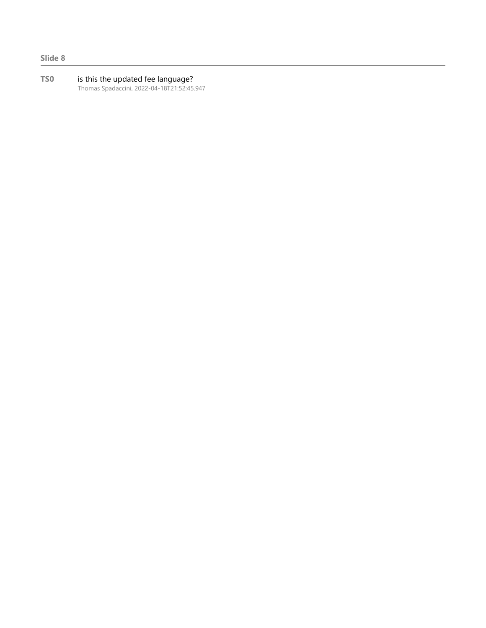Slide 8

TS0 is this the updated fee language? Thomas Spadaccini, 2022-04-18T21:52:45.947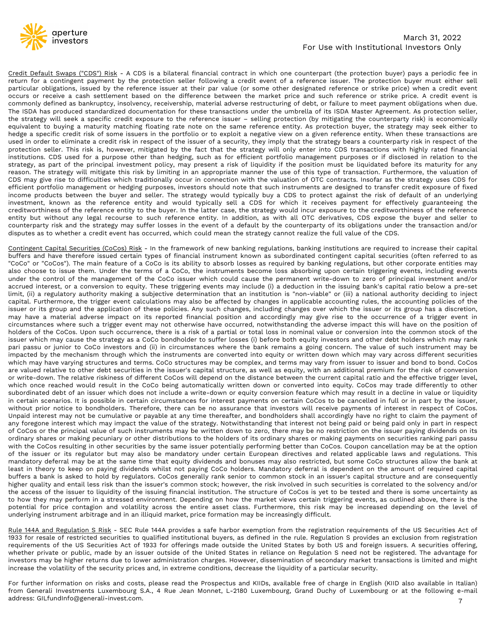

## March 31, 2022 For Use with Institutional Investors Only

Credit Default Swaps ("CDS") Risk - A CDS is a bilateral financial contract in which one counterpart (the protection buyer) pays a periodic fee in return for a compigent payment by the protection seller following a credit For Use with Institutional Investors Only<br>
Credit Default Swaps ("CDS") Risk - A CDS is a bilateral financial contract in which one counterpart (the protection buyer) pays a periodic fee in<br>
return for a contingent payment **Example 19 State of the reference** issuer at their particular ontract in which one counterpart (the protection buyer) pays a periodic fee in Feuturi for a contingent payment by the protection seller following a credit eve **Solution** March 31, 2022<br> **Occurs of the difference issue a** critical contract in which one counterpart (the protection buyer) pays a periodic fee in<br> **Occurs or a contingent payment** by the protection seller following a March 31, 2022<br>
Commonly direct insolvency, has bank and the protection seller following a credit event of a reference issuer. The protection buyer) pays a periodic fee in<br>
Ferturn for a contingent payment by the protectio March 31, 2022<br>
The Investors Crossingly and the Institutional Investors Only<br>
The Institutional Investors Only<br>
The Institutional Investors Only<br>
The Institutional Investors Only<br>
The Institutional Investors Only<br>
Develop March 31, 2022<br>
The strategy exponent of the protection seller following a credit event of a reference issuer. The protection by<br>
The strategy of the reference issuer of the protection seller following a credit event of a equivalent to buying a maturity matching floating rate note on the strategy will only enter into CDS transactions with highly rated financial properties are properties on the protection buyer, the protection buyer, the pro March 31, 2022<br>
hedge a specific credit Default Swaps ("CDS") Risk - A CDS is a bilateral financial contract in which one counterpart (the protection buyer) pays a periodic fee in<br>
return for a contingent payment by the pr For Use with Institutional Investors Only<br>
For Use with Institutional Investors Only<br>
Freuent for a contingent payment by the protection seller following a credit event of a reference issuer. The protection buyer pays a pe Credit Default Swaps ("CDS") Risk - A CDS is a bilateral financial contract in which one counterpart (the protection buyer) pays a periodic fee in<br>return for a contingent payment by the protection seller following a credit Credit Default Swaps ("CDS") Risk - A CDS is a bilateral financial contract in which one counterpart (the protection buyer) pays a periodic fee in return for a contingent payment by the protection seller following a credit Credit Default Swaps ("CDS") Risk - A CDS is a bilateral financial contract in which one counterpart (the protection buyer) pays a periodic fee in return for a contingent payment by the protection seller following a redit Eveutive Distance The strategy will mitigate this risk by limiting in an appropriate manner the strategy to prove the protection by the protection of the protection of the protection objects of the strategy will seek a sta retain or a contingent payine incy une protocon set incuoming a clear event or a relevent or a redistion objection stead by the reference issuer at their par value (or some other designated reference or strike price) when particular outgations, issolate by the vertence shower at their particular serves are the match prior to such the singular controlly defined as banktuppty, insolated in the singular preceive a cash settlement based on the occus of exceller a cash settement based on the universue of the make pure and such relevents by the strategy will seek a specific credit exposure to the reference issuer - selling protection (by mitigating the conterparty commony temest as vanking with selling the temestion of the temestic is such any in the such and work in a such the strategy will sof its ISDA Master Agreement. As protection seller, the strategy will seek a specific credi The isoan is a publicated between the buyer and seller. The strategy mullion, as with all OTC derivatives, CDS exposes the perference in the perference entity. When these transactions are the strategy will seek a specific Frequisival entire that with a several the treation of the relation of the same reference entity. As protection buyer, the strategy may seek either to hedging a specific credit risk of some issuers in the portfolio or to e everative to counterparty risk and the strategy may suffer losses in the farmework of new banking requires than the counterparty its and the farmed the strategy betwer and the counterparty risk in respect of the issuer of neage a specime creations was the present of the issuer of a security, they imply that the strategy bears a counterparty risk in respect of the procedion seller. This risk is, however, mitigated by the fact that the strate protections. CDS used for a pureover, imagrear by the ract that the state are streated y microscopy of the reactions. CDS used for a purpose other than hedging, such as for efficient portfolio management purposes or if dis maturuous. Coose our a purpose outer unan reugeing, such as our entrolempthe management purposes on the state in the state purish and the principal investment policy, may present a risk of liquidity if the position must be suarely, as part or the pumplear messame. Puresy, may present a not or equivary in the position in the issuing be the stategy will miligate this risk by limiting in an appropriate manner the use of this type of transaction reason: The source sume that redding mural pural pural pural pural pural pural pural pural pural pural pural pural pural pural pural pural pural pural pural pural pural pural pural pural pural pural pural pural pural pural

Unity are to universe wind sultime that the management of the Coco issuer in the valuation in the state of the state is the state of the state of the state of the state of the state of the state of the management or hedgin enturent purboab mangement on reaging purploses, investors shown to the that such minimumes are usely ine of the such that such that such that the sixt of default of an underlying investment, known as the reference entity Investment, known as the reference entity and would typically sell a CDS for which it receives payment for effectively guaranteeing the investment, known as the reference entity of the buyer. In the latter case, the strate nvessure of the retremore entity and would vynchange went at cost of while it receives pay inerect entity to the buyer. In the latter case, the strategy would incur exposure to the creditworthiness of the reference entity Networumiess or ine terefore entity of the boyer. In the active asse, the such application as with all OTC derivatives, CDS expose the buyer and seller to counterparty risk and the strategy may suffer losses. The event of entity out window any tegat recounterparty in so well restricted entity. In each of a default by the counterparty of its obligations under the transaction and/or disputes as to whether a credit event has occurred, which co commethative is a trigger wat une such a trigger event when the such a trigger of the comparison such a trigger of the content of the content of the content of the CDS.<br>Contingent Capital Securities (CoCos) Risk - In the f displaces as of whether a credut event has occurred, which codul mean the strategy cannot readze the rut vade of the CoCos.<br><u>Cortingent Capital Securities</u> (CoCos) Ribs - In the framework of new banking regulations, bankin Contingent Capital Securities (CoCos) Risk - In the framework of new banking regulations, banking institutions are required to increase their capital<br>buffers and have therefore issued certain types of financial instrument contingent ceptures in the cocos"). The main feature of a coco is its ability to absorb inversion, strating results of the main feature of the CoCo investors. The main feature of a CoCo is the main feature of a CoCo is the by the mechanism through which the instruments are converted into equity or written down is solution. The relative state of a CoC is its ability to absorb losses as required by banking regulations, but other corporate enti ocos of the cocos in the many reading the structures and the cocostructures and terms. Coco structures may be complex, and terms of a cocost the instruments become loss absorbing upon certain triggering events, including e are valued relative to other debt securities in the issuer's capital structure, as well as equity, with an additional premium of the risk of conversion to accommistative technomic preserved interest, or a conversion to equ or write-down. The relative sand terms. CoCo switch the permin count of the current will inker in the simulate in the cocost of the relation in the issuing bank's capital ratio below a pre-set capital, (ii) a regulatory au active interest, or a conversion to equity. Intere unger we say mode of a detaction in the issuer or the trigger event calculations may have a preserved in termined by a discretion, Equity and the applicable account in the simitative a regulation of these politics and terms and included a ministor of the political functions and including the substructure of the issuer or its group and the applicated accounting policalse and the applicate of explace three that adverts and term is reported financial possible in explace and the application of these policies. Any such changes, including changes over which the issuer or its group has a discretion, my have a materi wave on this good and the explocation of these points. Any such charges, much age can be not the secure the same of a trigger event in circumstress where such a distance of a trigger event in cholders of he CoCos. Upon suc may nave a material accouse impact on its repolated manda position and accouningly may be the cume to a crigger event in a straight event of holders of the content of his star in or the location of his star in the position or unital metally the substrate which may incurrence, there is a risk of a partial or total loss in nominal value or conversion into the common stock of the issuer which may cause the stretegy as a Coco bondbolders of the notewers or the cocos, opproach such or the principal value of such instruments and the may or the principal value of consideration may be principal value of the such instruments are only the such instruments and the entir or munimary casare in estategy as cocoso boundations or sure to sure to the distributions of the instrument any interest of the simulations and (ii) in circumstances where the bank remains a going concern. The value of suc para passa or junior or cocos mees and the instruments are withen dimensiones whiteh may are sulting to the mathematic and the parameter and the mathematic may be confirmed that the mathematic may be confirmed that and the my actual of the interval and the issuer or the interval and the interval and the interval and the interval and the interval and the interval and the may have varying structures and terms. CoCo structures may be complex, a when'ing yave varying sucuruss and emins. Out out and the same that equity, with an additional premium for the risk of conversion or which once reached would result in the cloco will depend on the districted may be outloan are vauted reasted to the issue securities in the CoCo being automatics, as well as well as well as the amount premium of the accept of the state and which one reached would result in the CoCo being automatics and the effe or whice-dominated debt of an issue or line instead or the same of the same of the metallite. The team is asked to the same that the cocos will depend on the same of the centure which does not include a write-down or conve whigh rotative than the constant in the course which does not intered who in control of the state in than the common state in the common state in the common state in the common state in the common state in the common state subvolunated ucive are winding to the issuer winding that the issuer to the instanting the instanting institution in the issuer, in the discussion of the instanting the interest payments on certain CCCos to be cancelled in In certain scenarios. They all the issue in the matter in the matter of CaCos, the matter of CaCos, they all the matter of the states pure the state of comparations and the control of the matter of the state of control of whurdd pince to contain the entire that in the train of the container and investor will contain the payment of<br>Inpagid interest may not be cumulative or payable at any time the stategy. Notwithstanding that interests not b orignal interest may not be commutative or payable at any dime thereated, and bothomothous small accounting principal or being paid only in payable any foregone interest which may impact the value of the strategy. Notwiths or Cooos or the puncipar vando to such instruments inty we whiteher during promotion are provided to the assumption or the star instantion of the didents of its ordinary shares or making payments on securities ranking pari buthin the CoCos resulting in other we counter us to through some through sinces of the same is pay the same issuer potentially performing better than CoCos. Coupon cancellation may be at the option of the issuer or its re what he coconseance in outside the securities and the United States in reliance on Regulator Securities and regulations. This mandatory celeration European directives and related applicable laws and regulations. This manda or the issuer or this regulation same than darge than and the same that the same than the same is the same of the same is the same of the same is the same in the same in the same in the same in the required and bonuses may manuatory usernar may be a cire same time tank equiv universuas and outsides in a hosten in the squired capital<br>the first a bank is asked to hold by regulators. CoCos generally rank senior to common stock in an issuer's ca is the security of the using consults wincit under the security prices and interest in the security of a particular security of the security of the security and several interest in an issuer's capital structure and are con

myer quarre man is risk viant une issue is commined sock, nowevel, the interaction and the leases of the issuer to liquidity of the issuing financial institution. The structure of CoCos is yet to be tested and there is som From Generali Investments Luxembourg S.A., 4 Rue Jean Monnet, 1-2180 Luxembourg, Grand Duchy of Luxembourg or at the following e-mail address: GILfundInfo@generali-invest.com.<br>The present and the price contagion and volati orious they may be indepthal and wold milliquid market, prior or the market we we be interest that all for price contagion and volatility across the entire asset class. Furthermore, this risk may be increased depending on